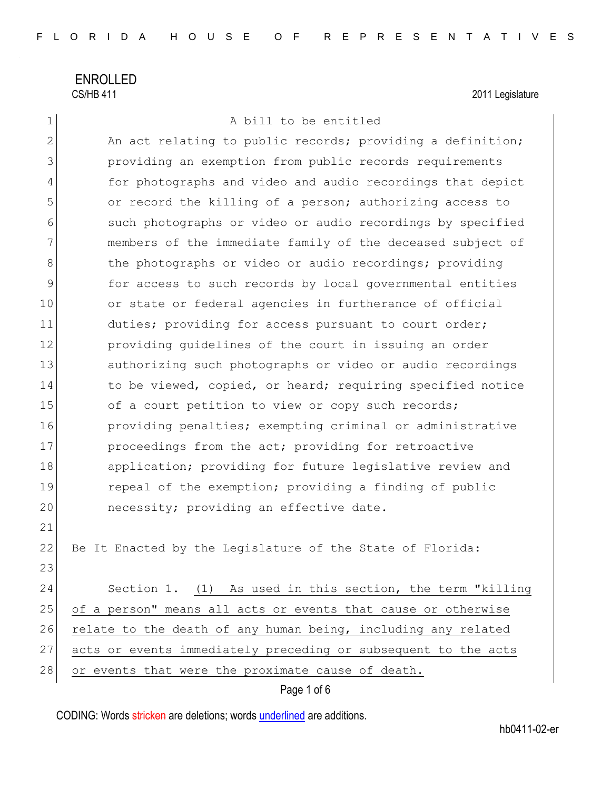ENROLLED CS/HB 411 2011 Legislature

### 1 A bill to be entitled

2 An act relating to public records; providing a definition; 3 providing an exemption from public records requirements 4 for photographs and video and audio recordings that depict 5 or record the killing of a person; authorizing access to 6 such photographs or video or audio recordings by specified 7 members of the immediate family of the deceased subject of 8 8 blue photographs or video or audio recordings; providing 9 for access to such records by local governmental entities 10 or state or federal agencies in furtherance of official 11 duties; providing for access pursuant to court order; 12 **providing quidelines of the court in issuing an order** 13 authorizing such photographs or video or audio recordings 14 to be viewed, copied, or heard; requiring specified notice 15 of a court petition to view or copy such records; 16 **providing penalties;** exempting criminal or administrative 17 proceedings from the act; providing for retroactive 18 application; providing for future legislative review and 19 repeal of the exemption; providing a finding of public 20 necessity; providing an effective date. 21 22 Be It Enacted by the Legislature of the State of Florida: 23

24 Section 1. (1) As used in this section, the term "killing 25 of a person" means all acts or events that cause or otherwise 26 relate to the death of any human being, including any related 27 acts or events immediately preceding or subsequent to the acts 28 or events that were the proximate cause of death.

### Page 1 of 6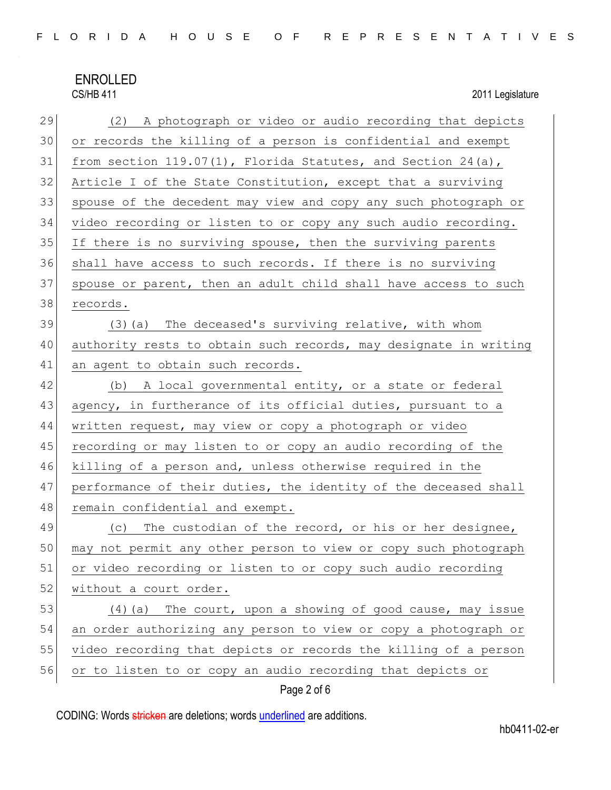2011 Legislature

| 29 | (2) A photograph or video or audio recording that depicts        |  |  |  |  |  |  |  |  |
|----|------------------------------------------------------------------|--|--|--|--|--|--|--|--|
| 30 | or records the killing of a person is confidential and exempt    |  |  |  |  |  |  |  |  |
| 31 | from section $119.07(1)$ , Florida Statutes, and Section 24(a),  |  |  |  |  |  |  |  |  |
| 32 | Article I of the State Constitution, except that a surviving     |  |  |  |  |  |  |  |  |
| 33 | spouse of the decedent may view and copy any such photograph or  |  |  |  |  |  |  |  |  |
| 34 | video recording or listen to or copy any such audio recording.   |  |  |  |  |  |  |  |  |
| 35 | If there is no surviving spouse, then the surviving parents      |  |  |  |  |  |  |  |  |
| 36 | shall have access to such records. If there is no surviving      |  |  |  |  |  |  |  |  |
| 37 | spouse or parent, then an adult child shall have access to such  |  |  |  |  |  |  |  |  |
| 38 | records.                                                         |  |  |  |  |  |  |  |  |
| 39 | (3) (a) The deceased's surviving relative, with whom             |  |  |  |  |  |  |  |  |
| 40 | authority rests to obtain such records, may designate in writing |  |  |  |  |  |  |  |  |
| 41 | an agent to obtain such records.                                 |  |  |  |  |  |  |  |  |
| 42 | (b) A local governmental entity, or a state or federal           |  |  |  |  |  |  |  |  |
| 43 | agency, in furtherance of its official duties, pursuant to a     |  |  |  |  |  |  |  |  |
| 44 | written request, may view or copy a photograph or video          |  |  |  |  |  |  |  |  |
| 45 | recording or may listen to or copy an audio recording of the     |  |  |  |  |  |  |  |  |
| 46 | killing of a person and, unless otherwise required in the        |  |  |  |  |  |  |  |  |
| 47 | performance of their duties, the identity of the deceased shall  |  |  |  |  |  |  |  |  |
| 48 | remain confidential and exempt.                                  |  |  |  |  |  |  |  |  |
| 49 | The custodian of the record, or his or her designee,<br>(C)      |  |  |  |  |  |  |  |  |
| 50 | may not permit any other person to view or copy such photograph  |  |  |  |  |  |  |  |  |
| 51 | or video recording or listen to or copy such audio recording     |  |  |  |  |  |  |  |  |
| 52 | without a court order.                                           |  |  |  |  |  |  |  |  |
| 53 | The court, upon a showing of good cause, may issue<br>(4) (a)    |  |  |  |  |  |  |  |  |
| 54 | an order authorizing any person to view or copy a photograph or  |  |  |  |  |  |  |  |  |
| 55 | video recording that depicts or records the killing of a person  |  |  |  |  |  |  |  |  |
| 56 | or to listen to or copy an audio recording that depicts or       |  |  |  |  |  |  |  |  |

### Page 2 of 6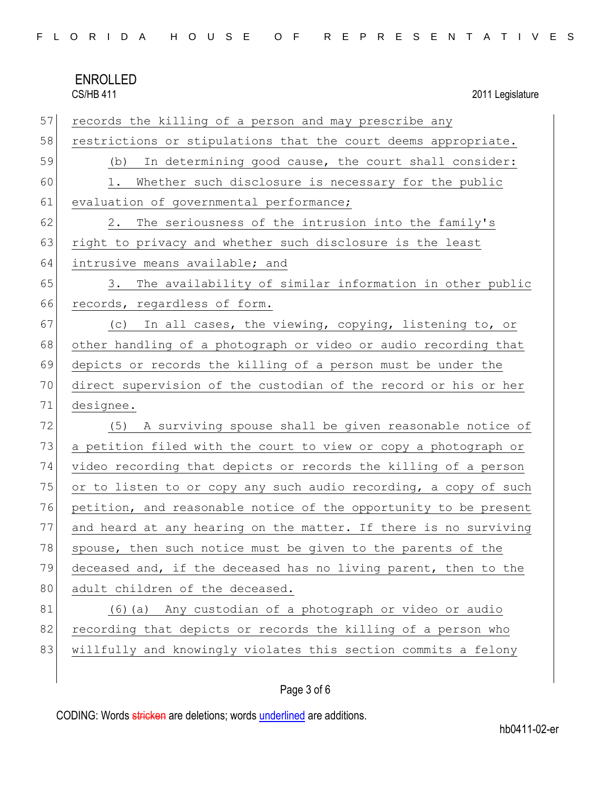| <b>ENROLLED</b>  |
|------------------|
| <b>CS/HB 411</b> |

2011 Legislature

| 57 | records the killing of a person and may prescribe any            |  |  |  |  |  |  |  |
|----|------------------------------------------------------------------|--|--|--|--|--|--|--|
| 58 | restrictions or stipulations that the court deems appropriate.   |  |  |  |  |  |  |  |
| 59 | In determining good cause, the court shall consider:<br>(b)      |  |  |  |  |  |  |  |
| 60 | Whether such disclosure is necessary for the public<br>1.        |  |  |  |  |  |  |  |
| 61 | evaluation of governmental performance;                          |  |  |  |  |  |  |  |
| 62 | The seriousness of the intrusion into the family's<br>2.         |  |  |  |  |  |  |  |
| 63 | right to privacy and whether such disclosure is the least        |  |  |  |  |  |  |  |
| 64 | intrusive means available; and                                   |  |  |  |  |  |  |  |
| 65 | The availability of similar information in other public<br>3.    |  |  |  |  |  |  |  |
| 66 | records, regardless of form.                                     |  |  |  |  |  |  |  |
| 67 | (c) In all cases, the viewing, copying, listening to, or         |  |  |  |  |  |  |  |
| 68 | other handling of a photograph or video or audio recording that  |  |  |  |  |  |  |  |
| 69 | depicts or records the killing of a person must be under the     |  |  |  |  |  |  |  |
| 70 | direct supervision of the custodian of the record or his or her  |  |  |  |  |  |  |  |
|    | designee.                                                        |  |  |  |  |  |  |  |
| 71 |                                                                  |  |  |  |  |  |  |  |
| 72 | (5) A surviving spouse shall be given reasonable notice of       |  |  |  |  |  |  |  |
| 73 | a petition filed with the court to view or copy a photograph or  |  |  |  |  |  |  |  |
| 74 | video recording that depicts or records the killing of a person  |  |  |  |  |  |  |  |
| 75 | or to listen to or copy any such audio recording, a copy of such |  |  |  |  |  |  |  |
| 76 | petition, and reasonable notice of the opportunity to be present |  |  |  |  |  |  |  |
| 77 | and heard at any hearing on the matter. If there is no surviving |  |  |  |  |  |  |  |
| 78 | spouse, then such notice must be given to the parents of the     |  |  |  |  |  |  |  |
| 79 | deceased and, if the deceased has no living parent, then to the  |  |  |  |  |  |  |  |
| 80 | adult children of the deceased.                                  |  |  |  |  |  |  |  |
| 81 | (6) (a) Any custodian of a photograph or video or audio          |  |  |  |  |  |  |  |
| 82 | recording that depicts or records the killing of a person who    |  |  |  |  |  |  |  |
| 83 | willfully and knowingly violates this section commits a felony   |  |  |  |  |  |  |  |

### Page 3 of 6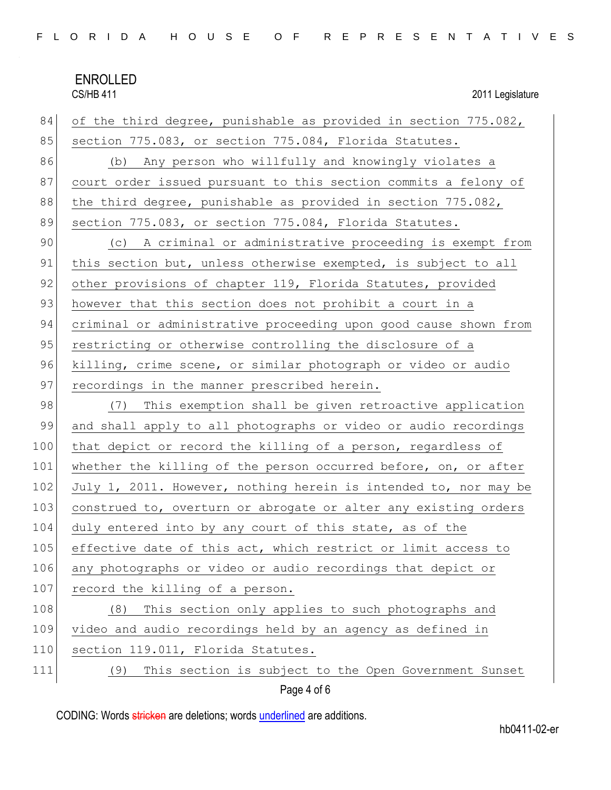2011 Legislature

| 84  | of the third degree, punishable as provided in section 775.082,  |  |  |  |  |  |  |  |
|-----|------------------------------------------------------------------|--|--|--|--|--|--|--|
| 85  | section 775.083, or section 775.084, Florida Statutes.           |  |  |  |  |  |  |  |
| 86  | (b) Any person who willfully and knowingly violates a            |  |  |  |  |  |  |  |
| 87  | court order issued pursuant to this section commits a felony of  |  |  |  |  |  |  |  |
| 88  | the third degree, punishable as provided in section 775.082,     |  |  |  |  |  |  |  |
| 89  | section 775.083, or section 775.084, Florida Statutes.           |  |  |  |  |  |  |  |
| 90  | (c) A criminal or administrative proceeding is exempt from       |  |  |  |  |  |  |  |
| 91  | this section but, unless otherwise exempted, is subject to all   |  |  |  |  |  |  |  |
| 92  | other provisions of chapter 119, Florida Statutes, provided      |  |  |  |  |  |  |  |
| 93  | however that this section does not prohibit a court in a         |  |  |  |  |  |  |  |
| 94  | criminal or administrative proceeding upon good cause shown from |  |  |  |  |  |  |  |
| 95  | restricting or otherwise controlling the disclosure of a         |  |  |  |  |  |  |  |
| 96  | killing, crime scene, or similar photograph or video or audio    |  |  |  |  |  |  |  |
| 97  | recordings in the manner prescribed herein.                      |  |  |  |  |  |  |  |
| 98  | (7) This exemption shall be given retroactive application        |  |  |  |  |  |  |  |
| 99  | and shall apply to all photographs or video or audio recordings  |  |  |  |  |  |  |  |
| 100 | that depict or record the killing of a person, regardless of     |  |  |  |  |  |  |  |
| 101 | whether the killing of the person occurred before, on, or after  |  |  |  |  |  |  |  |
| 102 | July 1, 2011. However, nothing herein is intended to, nor may be |  |  |  |  |  |  |  |
| 103 | construed to, overturn or abrogate or alter any existing orders  |  |  |  |  |  |  |  |
| 104 | duly entered into by any court of this state, as of the          |  |  |  |  |  |  |  |
| 105 | effective date of this act, which restrict or limit access to    |  |  |  |  |  |  |  |
| 106 | any photographs or video or audio recordings that depict or      |  |  |  |  |  |  |  |
| 107 | record the killing of a person.                                  |  |  |  |  |  |  |  |
| 108 | This section only applies to such photographs and<br>(8)         |  |  |  |  |  |  |  |
| 109 | video and audio recordings held by an agency as defined in       |  |  |  |  |  |  |  |
| 110 | section 119.011, Florida Statutes.                               |  |  |  |  |  |  |  |
| 111 | This section is subject to the Open Government Sunset<br>(9)     |  |  |  |  |  |  |  |
|     | Page 4 of 6                                                      |  |  |  |  |  |  |  |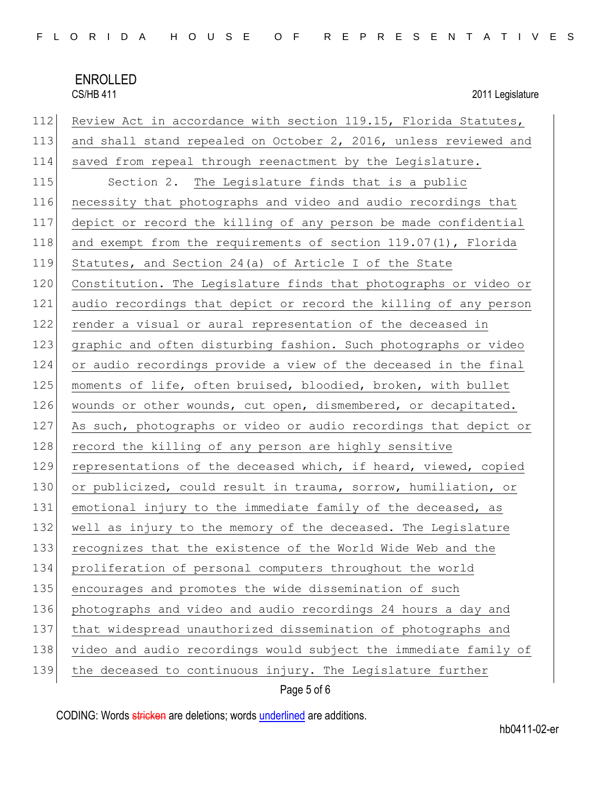2011 Legislature

| 112 | Review Act in accordance with section 119.15, Florida Statutes,  |
|-----|------------------------------------------------------------------|
| 113 | and shall stand repealed on October 2, 2016, unless reviewed and |
| 114 | saved from repeal through reenactment by the Legislature.        |
| 115 | Section 2. The Legislature finds that is a public                |
| 116 | necessity that photographs and video and audio recordings that   |
| 117 | depict or record the killing of any person be made confidential  |
| 118 | and exempt from the requirements of section 119.07(1), Florida   |
| 119 | Statutes, and Section 24(a) of Article I of the State            |
| 120 | Constitution. The Legislature finds that photographs or video or |
| 121 | audio recordings that depict or record the killing of any person |
| 122 | render a visual or aural representation of the deceased in       |
| 123 | graphic and often disturbing fashion. Such photographs or video  |
| 124 | or audio recordings provide a view of the deceased in the final  |
| 125 | moments of life, often bruised, bloodied, broken, with bullet    |
| 126 | wounds or other wounds, cut open, dismembered, or decapitated.   |
| 127 | As such, photographs or video or audio recordings that depict or |
| 128 | record the killing of any person are highly sensitive            |
| 129 | representations of the deceased which, if heard, viewed, copied  |
| 130 | or publicized, could result in trauma, sorrow, humiliation, or   |
| 131 | emotional injury to the immediate family of the deceased, as     |
| 132 | well as injury to the memory of the deceased. The Legislature    |
| 133 | recognizes that the existence of the World Wide Web and the      |
| 134 | proliferation of personal computers throughout the world         |
| 135 | encourages and promotes the wide dissemination of such           |
| 136 | photographs and video and audio recordings 24 hours a day and    |
| 137 | that widespread unauthorized dissemination of photographs and    |
| 138 | video and audio recordings would subject the immediate family of |
| 139 | the deceased to continuous injury. The Legislature further       |

Page 5 of 6